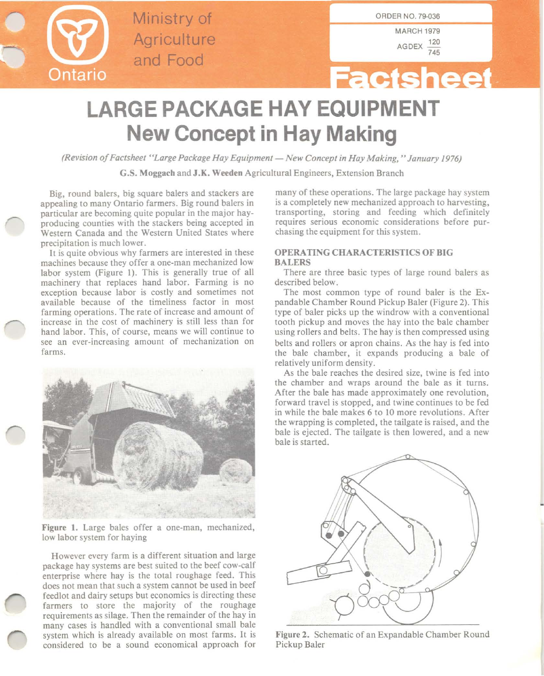

Ministry of **Change Complete Account Complete** Account of the Complete Account of the Complete Account of the Complete Account of the Complete Account of the Complete Account of the Complete Account of the Complete Account **Agriculture and Food**

MARCH 1979  $AGDEX \frac{128}{745}$ 

# **Factsheet**

# **LARGE PACKAGE HAY EQUIPMENT New Concept in Hay Making**

*(Revision ofFactsheet "Large Package Hay Equipment- New Concept in Hay Making,* " *January /976)*

G.S. Moggach and J.K. Weeden Agricultural Engineers, Extension Branch

Big, round balers, big square balers and stackers are appealing to many Ontario farmers. Big round balers in particular are becoming quite popular in the major hayproducing counties with the stackers being accepted in Western Canada and the Western United States where **precipitation is much lower.**

It is quite obvious why farmers are interested in these machines because they offer a one-man mechanized low labor system (Figure I). This is generally true of all machinery that replaces hand labor. Farming is no exception because labor is costly and sometimes not available because of the timeliness factor in most farming operations. The rate of increase and amount of increase in the cost of machinery is still less than for hand labor. This, of course, means we will continue to **see an ever-increasing amount of mechanization on** farms.



Figure I. Large bales offer a one-man, mechanized, low labor system for haying

However every farm is a different situation and large package hay systems are best suited to the beef cow-calf enterprise where hay is the total roughage feed. This does not mean that such a system cannot be used in beef feedlot and dairy setups but economics is directing these farmers to store the majority of the roughage requirements as silage. Then the remainder of the hay in many cases is handled with a conventional small bale system which is already available on most farms. It is considered to be a sound economical approach for

many of these operations. The large package hay system is a completely new mechanized approach to harvesting, transporting, storing and feeding which definitely **requires serious economic considerations before pur**chasing the equipment for this system.

## **OPERATING CHARACTERISTICS OF BIG BALERS**

There are three basic types of large round balers as described below.

The most common type of round baler is the Expandable Chamber Round Pickup Baler (Figure 2). This type of baler picks up the windrow with a conventional tooth pickup and moves the hay into the bale chamber using rollers and belts. The hay is then compressed using belts and rollers or apron chains. As the hay is fed into the bale chamber, it expands producing a bale of relatively uniform density.

As the bale reaches the desired size, twine is fed into the chamber and wraps around the bale as it turns. After the bale has made approximately one revolution, forward travel is stopped, and twine continues to be fed in while the bale makes 6 to 10 more revolutions. After the wrapping is completed, the tailgate is raised, and the bale is ejected. The tailgate is then lowered, and a new bale is started.



Figure 2. Schematic of an Expandable Chamber Round Pickup Baler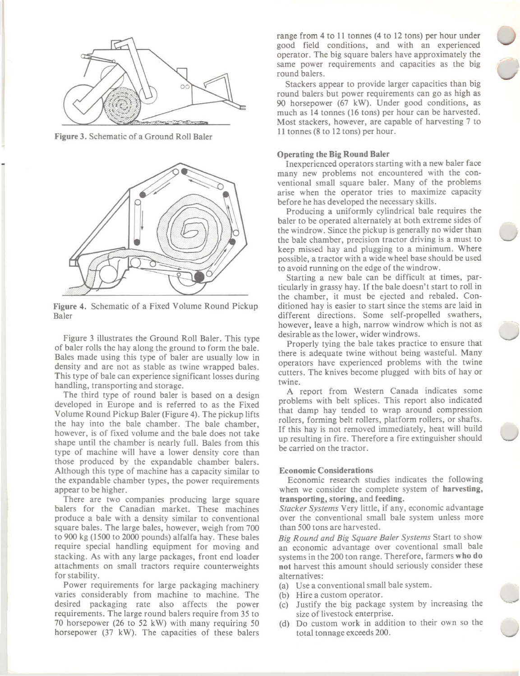

Figure 3. Schematic of a Ground Roll Baler



Figure 4. Schematic of a Fixed Volume Round Pickup Baler

Figure 3 illustrates the Ground Roll Baler. This type of baler rolls the hay along the ground to form the bale. Bales made using this type of baler are usually low in density and are not as stable as twine wrapped bales. This type of bale can experience significant losses during handling, transporting and storage.

The third type of round baler is based on a design developed in Europe and is referred to as the Fixed Volume Round Pickup Baler (Figure 4). The pickup lifts the hay into the bale chamber. The bale chamber, however, is of fixed volume and the bale does not take shape until the chamber is nearly full. Bales from this type of machine will have a lower density core than those produced by the expandable chamber balers. Although this type of machine has a capacity similar to the expandable chamber types, the power requirements appear to be higher.

There are two companies producing large square balers for the Canadian market. These machines produce a bale with a density similar to conventional square bales. The large bales, however, weigh from 700 to 900 kg (1500 to 2000 pounds) alfalfa hay. These bales require special handling equipment for moving and stacking. As with any large packages, front end loader **attachments on small tractors require counterweights** for stability.

Power requirements for large packaging machinery varies considerably from machine to machine. The desired packaging rate also affects the power requirements. The large round balers require from 35 to 70 horsepower (26 to 52 kW) with many requiring 50 horsepower (37 kW). The capacities of these balers range from 4 to II tonnes (4 to 12 tons) per hour under good field conditions, and with an experienced operator. The big square balers have approximately the same power requirements and capacities as the big round balers.

Stackers appear to provide larger capacities than big round balers but power requirements can go as high as 90 horsepower (67 kW). Under good conditions, as much as 14 tonnes (16 tons) per hour can be harvested. Most stackers, however, are capable of harvesting 7 to Iitonnes (8 to 12 tons) per hour.

#### Operating the Big Round Baler

Inexperienced operators starting with a new baler face many new problems not encountered with the conventional small square baler. Many of the problems **arise when the operator tries to maximize capacity** before he has developed the necessary skills.

Producing a uniformly cylindrical bale requires the baler to be operated alternately at both extreme sides of the windrow. Since the pickup is generally no wider than the bale chamber, precision tractor driving is a must to keep missed hay and plugging to a minimum. Where possible, a tractor with a wide wheel base should be used to avoid running on the edge of the windrow.

Starting a new bale can be difficult at times, particularly in grassy hay. If the bale doesn't start to roll in the chamber, it must be ejected and rebaled. Conditioned hay is easier to start since the stems are laid in different directions. Some self-propelled swathers, **however, leave a high, narrow windrow which is not as** desirable as the lower, wider windrows.

Properly tying the bale takes practice to ensure that there is adequate twine without being wasteful. Many operators have experienced problems with the twine cutters. The knives become plugged with bits of hay or **twine.**

A report from Western Canada indicates some problems with belt splices. This report also indicated that damp hay tended to wrap around compression rollers, forming belt rollers, platform rollers, or shafts. If this hay is not removed immediately, heat will build up resulting in fire. Therefore a fire extinguisher should be carried on the tractor.

#### **Economic Considerations**

Economic research studies indicates the following when we consider the complete system of harvesting, transporting, storing, and feeding.

*Stacker Systems* Very little, if any, economic advantage over the conventional small bale system unless more than 500 tons are harvested.

*Big Round and Big Square Baler Systems* Start to show **an economic advantage over coventional small bale** systems in the 200 ton range. Therefore, farmers who do not harvest this amount should seriously consider these **alternatives:**

- (a) Use a conventional small bale system.
- (b) Hire a custom operator.
- (c) Justify the big package system by increasing the **size of livestock enterprise.**
- (d) Do custom work in addition to their own so the total tonnage exceeds 200.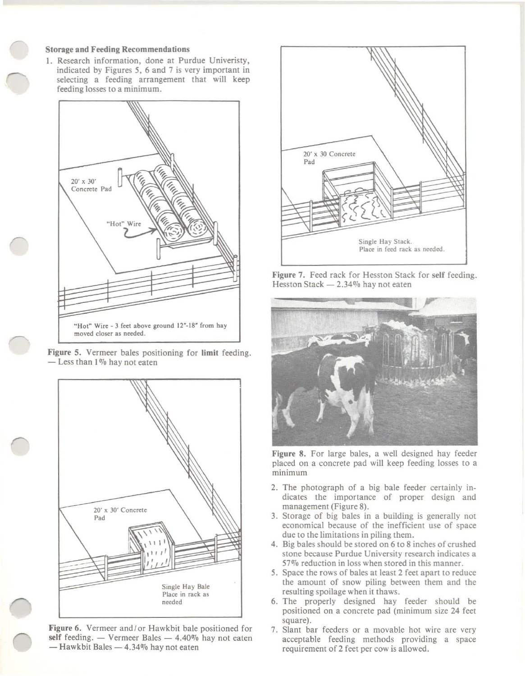#### **Storage and Feeding Recommendations**

**1. Research information, done at Purdue Univeristy,** indicated by Figures 5, 6 and 7 is very important in selecting a feeding arrangement that will keep feeding losses to a minimum.



**Figure** S. Vermeer bales positioning for **limit** feeding.  $-$  Less than 1% hay not eaten



**Figure** 6. Vermeer and/or Hawkbit bale positioned for **self** feeding.  $-$  Vermeer Bales  $-$  4.40% hay not eaten  $-$  Hawkbit Bales  $-$  4.34% hay not eaten



**Figure** 7. Feed rack for Hesston Stack for self feeding. Hesston Stack  $-2.34\%$  hay not eaten



**Figure** 8. For large bales, a well designed hay feeder placed on a concrete pad will keep feeding losses to a **minimum**

- 2. The photograph of a big bale feeder certainly indicates the importance of proper design and management (Figure 8).
- 3. Storage of big bales in a building is generally not economical because of the inefficient use of space due to the limitations in piling them.
- 4. Big bales should be stored on 6 to 8 inches of crushed **stone because Purdue University research indicates a** 57% reduction in loss when stored in this manner.
- 5. Space the rows of bales at least 2 feet apart to reduce the amount of snow piling between them and the resulting spoilage when it thaws.
- 6. The properly designed hay feeder should be positioned on a concrete pad (minimum size 24 feet square).
- 7. Slant bar feeders or a movable hot wire are very acceptable feeding methods providing a space requirement of 2 feet per cow is allowed.